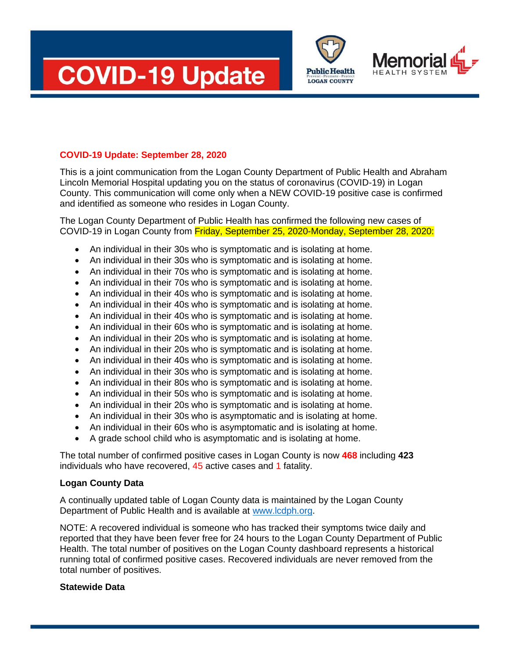





## **COVID-19 Update: September 28, 2020**

This is a joint communication from the Logan County Department of Public Health and Abraham Lincoln Memorial Hospital updating you on the status of coronavirus (COVID-19) in Logan County. This communication will come only when a NEW COVID-19 positive case is confirmed and identified as someone who resides in Logan County.

The Logan County Department of Public Health has confirmed the following new cases of COVID-19 in Logan County from Friday, September 25, 2020-Monday, September 28, 2020:

- An individual in their 30s who is symptomatic and is isolating at home.
- An individual in their 30s who is symptomatic and is isolating at home.
- An individual in their 70s who is symptomatic and is isolating at home.
- An individual in their 70s who is symptomatic and is isolating at home.
- An individual in their 40s who is symptomatic and is isolating at home.
- An individual in their 40s who is symptomatic and is isolating at home.
- An individual in their 40s who is symptomatic and is isolating at home.
- An individual in their 60s who is symptomatic and is isolating at home.
- An individual in their 20s who is symptomatic and is isolating at home.
- An individual in their 20s who is symptomatic and is isolating at home.
- An individual in their 40s who is symptomatic and is isolating at home.
- An individual in their 30s who is symptomatic and is isolating at home.
- An individual in their 80s who is symptomatic and is isolating at home.
- An individual in their 50s who is symptomatic and is isolating at home.
- An individual in their 20s who is symptomatic and is isolating at home.
- An individual in their 30s who is asymptomatic and is isolating at home.
- An individual in their 60s who is asymptomatic and is isolating at home.
- A grade school child who is asymptomatic and is isolating at home.

The total number of confirmed positive cases in Logan County is now **468** including **423** individuals who have recovered, 45 active cases and 1 fatality.

## **Logan County Data**

A continually updated table of Logan County data is maintained by the Logan County Department of Public Health and is available at [www.lcdph.org.](http://www.lcdph.org/)

NOTE: A recovered individual is someone who has tracked their symptoms twice daily and reported that they have been fever free for 24 hours to the Logan County Department of Public Health. The total number of positives on the Logan County dashboard represents a historical running total of confirmed positive cases. Recovered individuals are never removed from the total number of positives.

## **Statewide Data**